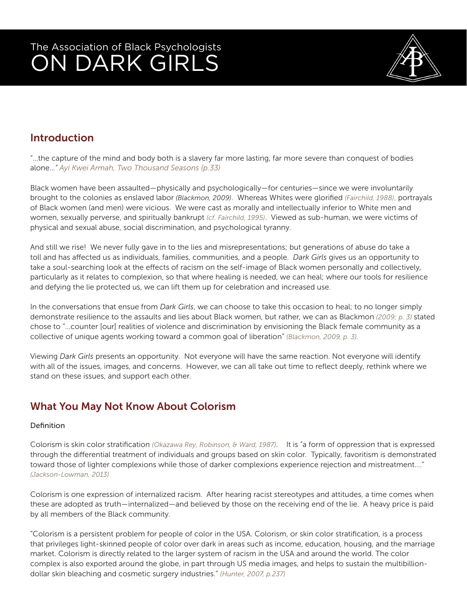

### Introduction

"…the capture of the mind and body both is a slavery far more lasting, far more severe than conquest of bodies alone…*" Ayi Kwei Armah, Two Thousand Seasons (p.33)* 

Black women have been assaulted—physically and psychologically—for centuries—since we were involuntarily brought to the colonies as enslaved labor *(Blackmon, 2009)*. Whereas Whites were glorified *(Fairchild, 1988)*, portrayals of Black women (and men) were vicious. We were cast as morally and intellectually inferior to White men and women, sexually perverse, and spiritually bankrupt *(cf. Fairchild, 1995)*. Viewed as sub-human, we were victims of physical and sexual abuse, social discrimination, and psychological tyranny.

And still we rise! We never fully gave in to the lies and misrepresentations; but generations of abuse do take a toll and has affected us as individuals, families, communities, and a people. *Dark Girls* gives us an opportunity to take a soul-searching look at the effects of racism on the self-image of Black women personally and collectively, particularly as it relates to complexion, so that where healing is needed, we can heal; where our tools for resilience and defying the lie protected us, we can lift them up for celebration and increased use.

In the conversations that ensue from *Dark Girls*, we can choose to take this occasion to heal; to no longer simply demonstrate resilience to the assaults and lies about Black women, but rather, we can as Blackmon *(2009; p. 3)* stated chose to "…counter [our] realities of violence and discrimination by envisioning the Black female community as a collective of unique agents working toward a common goal of liberation" *(Blackmon, 2009, p. 3).*

Viewing *Dark Girls* presents an opportunity. Not everyone will have the same reaction. Not everyone will identify with all of the issues, images, and concerns. However, we can all take out time to reflect deeply, rethink where we stand on these issues, and support each other.

### What You May Not Know About Colorism

#### Definition

Colorism is skin color stratification *(Okazawa Rey, Robinson, & Ward, 1987)*. It is "a form of oppression that is expressed through the differential treatment of individuals and groups based on skin color. Typically, favoritism is demonstrated toward those of lighter complexions while those of darker complexions experience rejection and mistreatment…." *(Jackson-Lowman, 2013)* 

Colorism is one expression of internalized racism. After hearing racist stereotypes and attitudes, a time comes when these are adopted as truth—internalized—and believed by those on the receiving end of the lie. A heavy price is paid by all members of the Black community.

"Colorism is a persistent problem for people of color in the USA. Colorism, or skin color stratification, is a process that privileges light-skinned people of color over dark in areas such as income, education, housing, and the marriage market. Colorism is directly related to the larger system of racism in the USA and around the world. The color complex is also exported around the globe, in part through US media images, and helps to sustain the multibilliondollar skin bleaching and cosmetic surgery industries." *(Hunter, 2007, p.237)*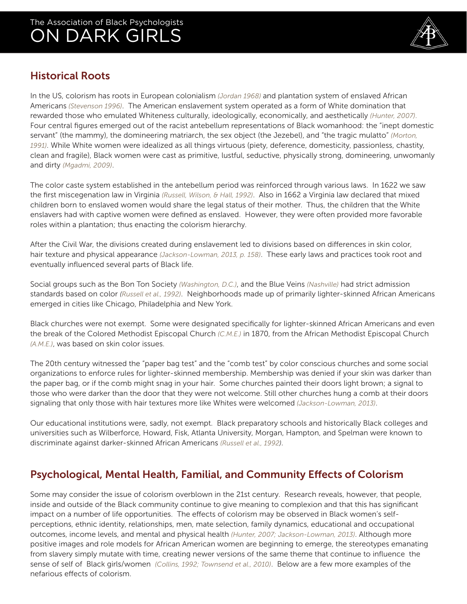

#### Historical Roots

In the US, colorism has roots in European colonialism *(Jordan 1968)* and plantation system of enslaved African Americans *(Stevenson 1996)*. The American enslavement system operated as a form of White domination that rewarded those who emulated Whiteness culturally, ideologically, economically, and aesthetically *(Hunter, 2007)*. Four central figures emerged out of the racist antebellum representations of Black womanhood: the "inept domestic servant" (the mammy), the domineering matriarch, the sex object (the Jezebel), and "the tragic mulatto" *(Morton, 1991)*. While White women were idealized as all things virtuous (piety, deference, domesticity, passionless, chastity, clean and fragile), Black women were cast as primitive, lustful, seductive, physically strong, domineering, unwomanly and dirty *(Mgadmi, 2009)*.

The color caste system established in the antebellum period was reinforced through various laws. In 1622 we saw the first miscegenation law in Virginia *(Russell, Wilson, & Hall, 1992)*. Also in 1662 a Virginia law declared that mixed children born to enslaved women would share the legal status of their mother. Thus, the children that the White enslavers had with captive women were defined as enslaved. However, they were often provided more favorable roles within a plantation; thus enacting the colorism hierarchy.

After the Civil War, the divisions created during enslavement led to divisions based on differences in skin color, hair texture and physical appearance *(Jackson-Lowman, 2013, p. 158)*. These early laws and practices took root and eventually influenced several parts of Black life.

Social groups such as the Bon Ton Society *(Washington, D.C.)*, and the Blue Veins *(Nashville)* had strict admission standards based on color *(Russell et al., 1992)*. Neighborhoods made up of primarily lighter-skinned African Americans emerged in cities like Chicago, Philadelphia and New York.

Black churches were not exempt. Some were designated specifically for lighter-skinned African Americans and even the break of the Colored Methodist Episcopal Church *(C.M.E.)* in 1870, from the African Methodist Episcopal Church *(A.M.E.)*, was based on skin color issues.

The 20th century witnessed the "paper bag test" and the "comb test" by color conscious churches and some social organizations to enforce rules for lighter-skinned membership. Membership was denied if your skin was darker than the paper bag, or if the comb might snag in your hair. Some churches painted their doors light brown; a signal to those who were darker than the door that they were not welcome. Still other churches hung a comb at their doors signaling that only those with hair textures more like Whites were welcomed *(Jackson-Lowman, 2013)*.

Our educational institutions were, sadly, not exempt. Black preparatory schools and historically Black colleges and universities such as Wilberforce, Howard, Fisk, Atlanta University, Morgan, Hampton, and Spelman were known to discriminate against darker-skinned African Americans *(Russell et al., 1992)*.

### Psychological, Mental Health, Familial, and Community Effects of Colorism

Some may consider the issue of colorism overblown in the 21st century. Research reveals, however, that people, inside and outside of the Black community continue to give meaning to complexion and that this has significant impact on a number of life opportunities. The effects of colorism may be observed in Black women's selfperceptions, ethnic identity, relationships, men, mate selection, family dynamics, educational and occupational outcomes, income levels, and mental and physical health *(Hunter, 2007; Jackson-Lowman, 2013)*. Although more positive images and role models for African American women are beginning to emerge, the stereotypes emanating from slavery simply mutate with time, creating newer versions of the same theme that continue to influence the sense of self of Black girls/women *(Collins, 1992; Townsend et al., 2010)*. Below are a few more examples of the nefarious effects of colorism.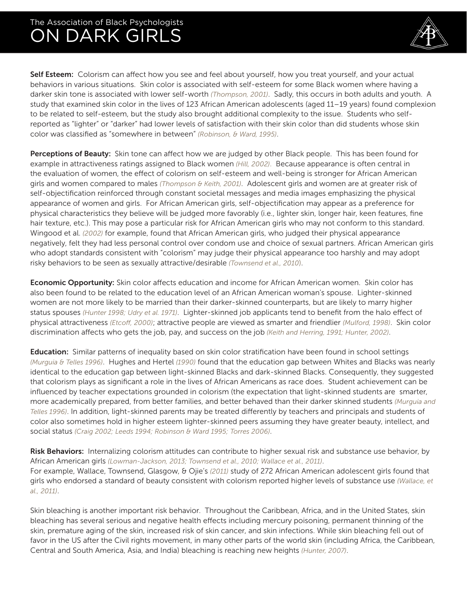

Self Esteem: Colorism can affect how you see and feel about yourself, how you treat yourself, and your actual behaviors in various situations. Skin color is associated with self-esteem for some Black women where having a darker skin tone is associated with lower self-worth *(Thompson, 2001)*. Sadly, this occurs in both adults and youth. A study that examined skin color in the lives of 123 African American adolescents (aged 11–19 years) found complexion to be related to self-esteem, but the study also brought additional complexity to the issue. Students who selfreported as "lighter" or "darker" had lower levels of satisfaction with their skin color than did students whose skin color was classified as "somewhere in between" *(Robinson, & Ward, 1995)*.

Perceptions of Beauty: Skin tone can affect how we are judged by other Black people. This has been found for example in attractiveness ratings assigned to Black women *(Hill, 2002)*. Because appearance is often central in the evaluation of women, the effect of colorism on self-esteem and well-being is stronger for African American girls and women compared to males *(Thompson & Keith, 2001)*. Adolescent girls and women are at greater risk of self-objectification reinforced through constant societal messages and media images emphasizing the physical appearance of women and girls. For African American girls, self-objectification may appear as a preference for physical characteristics they believe will be judged more favorably (i.e., lighter skin, longer hair, keen features, fine hair texture, etc.). This may pose a particular risk for African American girls who may not conform to this standard. Wingood et al. *(2002)* for example, found that African American girls, who judged their physical appearance negatively, felt they had less personal control over condom use and choice of sexual partners. African American girls who adopt standards consistent with "colorism" may judge their physical appearance too harshly and may adopt risky behaviors to be seen as sexually attractive/desirable *(Townsend et al., 2010*).

**Economic Opportunity:** Skin color affects education and income for African American women. Skin color has also been found to be related to the education level of an African American woman's spouse. Lighter-skinned women are not more likely to be married than their darker-skinned counterparts, but are likely to marry higher status spouses *(Hunter 1998; Udry et al. 1971)*. Lighter-skinned job applicants tend to benefit from the halo effect of physical attractiveness *(Etcoff, 2000)*; attractive people are viewed as smarter and friendlier *(Mulford, 1998)*. Skin color discrimination affects who gets the job, pay, and success on the job *(Keith and Herring, 1991; Hunter, 2002)*.

Education: Similar patterns of inequality based on skin color stratification have been found in school settings *(Murguia & Telles 1996)*. Hughes and Hertel *(1990)* found that the education gap between Whites and Blacks was nearly identical to the education gap between light-skinned Blacks and dark-skinned Blacks. Consequently, they suggested that colorism plays as significant a role in the lives of African Americans as race does. Student achievement can be influenced by teacher expectations grounded in colorism (the expectation that light-skinned students are smarter, more academically prepared, from better families, and better behaved than their darker skinned students *(Murguia and Telles 1996)*. In addition, light-skinned parents may be treated differently by teachers and principals and students of color also sometimes hold in higher esteem lighter-skinned peers assuming they have greater beauty, intellect, and social status *(Craig 2002; Leeds 1994; Robinson & Ward 1995; Torres 2006)*.

Risk Behaviors: Internalizing colorism attitudes can contribute to higher sexual risk and substance use behavior, by African American girls *(Lowman-Jackson, 2013; Townsend et al., 2010; Wallace et al., 2011)*. For example, Wallace, Townsend, Glasgow, & Ojie's *(2011)* study of 272 African American adolescent girls found that girls who endorsed a standard of beauty consistent with colorism reported higher levels of substance use *(Wallace, et al., 2011)*.

Skin bleaching is another important risk behavior. Throughout the Caribbean, Africa, and in the United States, skin bleaching has several serious and negative health effects including mercury poisoning, permanent thinning of the skin, premature aging of the skin, increased risk of skin cancer, and skin infections. While skin bleaching fell out of favor in the US after the Civil rights movement, in many other parts of the world skin (including Africa, the Caribbean, Central and South America, Asia, and India) bleaching is reaching new heights *(Hunter, 2007)*.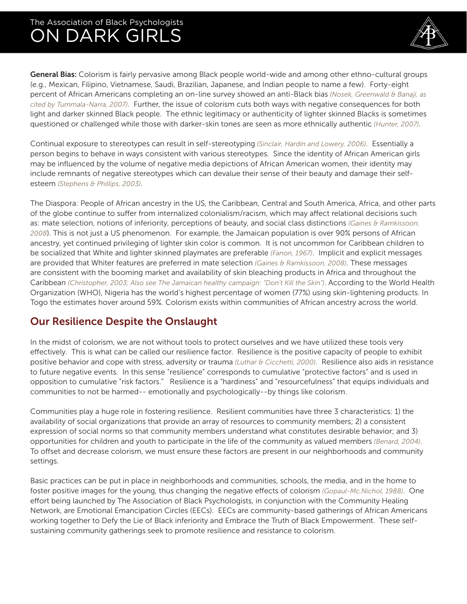

General Bias: Colorism is fairly pervasive among Black people world-wide and among other ethno-cultural groups (e.g., Mexican, Filipino, Vietnamese, Saudi, Brazilian, Japanese, and Indian people to name a few). Forty-eight percent of African Americans completing an on-line survey showed an anti-Black bias *(Nosek, Greenwald & Banaji, as cited by Tummala-Narra, 2007)*. Further, the issue of colorism cuts both ways with negative consequences for both light and darker skinned Black people. The ethnic legitimacy or authenticity of lighter skinned Blacks is sometimes questioned or challenged while those with darker-skin tones are seen as more ethnically authentic *(Hunter, 2007)*.

Continual exposure to stereotypes can result in self-stereotyping *(Sinclair, Hardin and Lowery, 2006)*. Essentially a person begins to behave in ways consistent with various stereotypes. Since the identity of African American girls may be influenced by the volume of negative media depictions of African American women, their identity may include remnants of negative stereotypes which can devalue their sense of their beauty and damage their selfesteem *(Stephens & Phillips, 2003)*.

The Diaspora: People of African ancestry in the US, the Caribbean, Central and South America, Africa, and other parts of the globe continue to suffer from internalized colonialism/racism, which may affect relational decisions such as: mate selection, notions of inferiority, perceptions of beauty, and social class distinctions *(Gaines & Ramkissoon, 2008*). This is not just a US phenomenon. For example, the Jamaican population is over 90% persons of African ancestry, yet continued privileging of lighter skin color is common. It is not uncommon for Caribbean children to be socialized that White and lighter skinned playmates are preferable *(Fanon, 1967)*. Implicit and explicit messages are provided that Whiter features are preferred in mate selection *(Gaines & Ramkissoon, 2008)*. These messages are consistent with the booming market and availability of skin bleaching products in Africa and throughout the Caribbean *(Christopher, 2003; Also see The Jamaican healthy campaign: "Don't Kill the Skin")*. According to the World Health Organization (WHO), Nigeria has the world's highest percentage of women (77%) using skin-lightening products. In Togo the estimates hover around 59%. Colorism exists within communities of African ancestry across the world.

#### Our Resilience Despite the Onslaught

In the midst of colorism, we are not without tools to protect ourselves and we have utilized these tools very effectively. This is what can be called our resilience factor. Resilience is the positive capacity of people to exhibit positive behavior and cope with stress, adversity or trauma *(Luthar & Cicchetti, 2000)*. Resilience also aids in resistance to future negative events. In this sense "resilience" corresponds to cumulative "protective factors" and is used in opposition to cumulative "risk factors." Resilience is a "hardiness" and "resourcefulness" that equips individuals and communities to not be harmed-- emotionally and psychologically--by things like colorism.

Communities play a huge role in fostering resilience. Resilient communities have three 3 characteristics: 1) the availability of social organizations that provide an array of resources to community members; 2) a consistent expression of social norms so that community members understand what constitutes desirable behavior; and 3) opportunities for children and youth to participate in the life of the community as valued members *(Benard, 2004)*. To offset and decrease colorism, we must ensure these factors are present in our neighborhoods and community settings.

Basic practices can be put in place in neighborhoods and communities, schools, the media, and in the home to foster positive images for the young, thus changing the negative effects of colorism *(Gopaul-Mc.Nichol, 1988)*. One effort being launched by The Association of Black Psychologists, in conjunction with the Community Healing Network, are Emotional Emancipation Circles (EECs). EECs are community-based gatherings of African Americans working together to Defy the Lie of Black inferiority and Embrace the Truth of Black Empowerment. These selfsustaining community gatherings seek to promote resilience and resistance to colorism.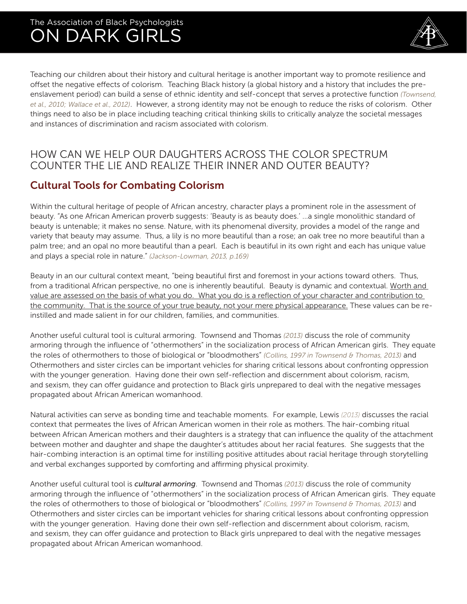

Teaching our children about their history and cultural heritage is another important way to promote resilience and offset the negative effects of colorism. Teaching Black history (a global history and a history that includes the preenslavement period) can build a sense of ethnic identity and self-concept that serves a protective function *(Townsend, et al., 2010; Wallace et al., 2012)*. However, a strong identity may not be enough to reduce the risks of colorism. Other things need to also be in place including teaching critical thinking skills to critically analyze the societal messages and instances of discrimination and racism associated with colorism.

#### HOW CAN WE HELP OUR DAUGHTERS ACROSS THE COLOR SPECTRUM COUNTER THE LIE AND REALIZE THEIR INNER AND OUTER BEAUTY?

#### Cultural Tools for Combating Colorism

Within the cultural heritage of people of African ancestry, character plays a prominent role in the assessment of beauty. "As one African American proverb suggests: 'Beauty is as beauty does.' ...a single monolithic standard of beauty is untenable; it makes no sense. Nature, with its phenomenal diversity, provides a model of the range and variety that beauty may assume. Thus, a lily is no more beautiful than a rose; an oak tree no more beautiful than a palm tree; and an opal no more beautiful than a pearl. Each is beautiful in its own right and each has unique value and plays a special role in nature." *(Jackson-Lowman, 2013, p.169)*

Beauty in an our cultural context meant, "being beautiful first and foremost in your actions toward others. Thus, from a traditional African perspective, no one is inherently beautiful. Beauty is dynamic and contextual. Worth and value are assessed on the basis of what you do. What you do is a reflection of your character and contribution to the community. That is the source of your true beauty, not your mere physical appearance. These values can be reinstilled and made salient in for our children, families, and communities.

Another useful cultural tool is cultural armoring. Townsend and Thomas *(2013)* discuss the role of community armoring through the influence of "othermothers" in the socialization process of African American girls. They equate the roles of othermothers to those of biological or "bloodmothers" *(Collins, 1997 in Townsend & Thomas, 2013)* and Othermothers and sister circles can be important vehicles for sharing critical lessons about confronting oppression with the younger generation. Having done their own self-reflection and discernment about colorism, racism, and sexism, they can offer guidance and protection to Black girls unprepared to deal with the negative messages propagated about African American womanhood.

Natural activities can serve as bonding time and teachable moments. For example, Lewis *(2013)* discusses the racial context that permeates the lives of African American women in their role as mothers. The hair-combing ritual between African American mothers and their daughters is a strategy that can influence the quality of the attachment between mother and daughter and shape the daughter's attitudes about her racial features. She suggests that the hair-combing interaction is an optimal time for instilling positive attitudes about racial heritage through storytelling and verbal exchanges supported by comforting and affirming physical proximity.

Another useful cultural tool is *cultural armoring*. Townsend and Thomas *(2013)* discuss the role of community armoring through the influence of "othermothers" in the socialization process of African American girls. They equate the roles of othermothers to those of biological or "bloodmothers" *(Collins, 1997 in Townsend & Thomas, 2013)* and Othermothers and sister circles can be important vehicles for sharing critical lessons about confronting oppression with the younger generation. Having done their own self-reflection and discernment about colorism, racism, and sexism, they can offer guidance and protection to Black girls unprepared to deal with the negative messages propagated about African American womanhood.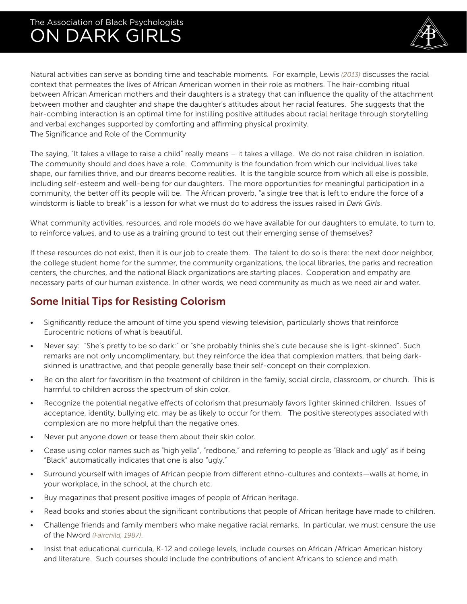

Natural activities can serve as bonding time and teachable moments. For example, Lewis *(2013)* discusses the racial context that permeates the lives of African American women in their role as mothers. The hair-combing ritual between African American mothers and their daughters is a strategy that can influence the quality of the attachment between mother and daughter and shape the daughter's attitudes about her racial features. She suggests that the hair-combing interaction is an optimal time for instilling positive attitudes about racial heritage through storytelling and verbal exchanges supported by comforting and affirming physical proximity. The Significance and Role of the Community

The saying, "It takes a village to raise a child" really means – it takes a village. We do not raise children in isolation. The community should and does have a role. Community is the foundation from which our individual lives take shape, our families thrive, and our dreams become realities. It is the tangible source from which all else is possible, including self-esteem and well-being for our daughters. The more opportunities for meaningful participation in a community, the better off its people will be. The African proverb, "a single tree that is left to endure the force of a windstorm is liable to break" is a lesson for what we must do to address the issues raised in *Dark Girls*.

What community activities, resources, and role models do we have available for our daughters to emulate, to turn to, to reinforce values, and to use as a training ground to test out their emerging sense of themselves?

If these resources do not exist, then it is our job to create them. The talent to do so is there: the next door neighbor, the college student home for the summer, the community organizations, the local libraries, the parks and recreation centers, the churches, and the national Black organizations are starting places. Cooperation and empathy are necessary parts of our human existence. In other words, we need community as much as we need air and water.

#### Some Initial Tips for Resisting Colorism

- Significantly reduce the amount of time you spend viewing television, particularly shows that reinforce Eurocentric notions of what is beautiful.
- Never say: "She's pretty to be so dark:" or "she probably thinks she's cute because she is light-skinned". Such remarks are not only uncomplimentary, but they reinforce the idea that complexion matters, that being darkskinned is unattractive, and that people generally base their self-concept on their complexion.
- Be on the alert for favoritism in the treatment of children in the family, social circle, classroom, or church. This is harmful to children across the spectrum of skin color.
- Recognize the potential negative effects of colorism that presumably favors lighter skinned children. Issues of acceptance, identity, bullying etc. may be as likely to occur for them. The positive stereotypes associated with complexion are no more helpful than the negative ones.
- Never put anyone down or tease them about their skin color.
- Cease using color names such as "high yella", "redbone," and referring to people as "Black and ugly" as if being "Black" automatically indicates that one is also "ugly."
- Surround yourself with images of African people from different ethno-cultures and contexts—walls at home, in your workplace, in the school, at the church etc.
- Buy magazines that present positive images of people of African heritage.
- Read books and stories about the significant contributions that people of African heritage have made to children.
- Challenge friends and family members who make negative racial remarks. In particular, we must censure the use of the Nword *(Fairchild, 1987)*.
- Insist that educational curricula, K-12 and college levels, include courses on African /African American history and literature. Such courses should include the contributions of ancient Africans to science and math.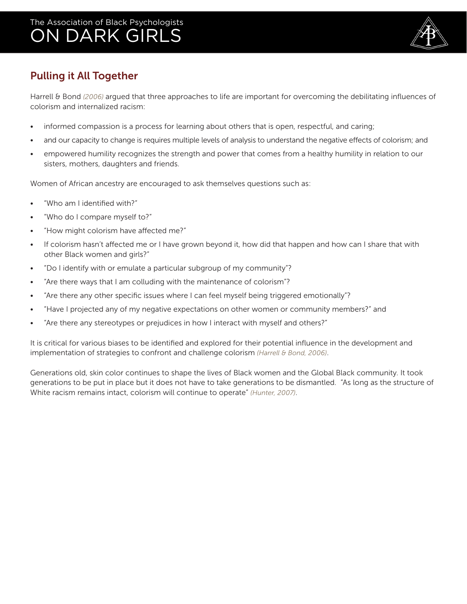

### Pulling it All Together

Harrell & Bond *(2006)* argued that three approaches to life are important for overcoming the debilitating influences of colorism and internalized racism:

- informed compassion is a process for learning about others that is open, respectful, and caring;
- and our capacity to change is requires multiple levels of analysis to understand the negative effects of colorism; and
- empowered humility recognizes the strength and power that comes from a healthy humility in relation to our sisters, mothers, daughters and friends.

Women of African ancestry are encouraged to ask themselves questions such as:

- "Who am I identified with?"
- "Who do I compare myself to?"
- "How might colorism have affected me?"
- If colorism hasn't affected me or I have grown beyond it, how did that happen and how can I share that with other Black women and girls?"
- "Do I identify with or emulate a particular subgroup of my community"?
- "Are there ways that I am colluding with the maintenance of colorism"?
- "Are there any other specific issues where I can feel myself being triggered emotionally"?
- "Have I projected any of my negative expectations on other women or community members?" and
- "Are there any stereotypes or prejudices in how I interact with myself and others?"

It is critical for various biases to be identified and explored for their potential influence in the development and implementation of strategies to confront and challenge colorism *(Harrell & Bond, 2006)*.

Generations old, skin color continues to shape the lives of Black women and the Global Black community. It took generations to be put in place but it does not have to take generations to be dismantled. "As long as the structure of White racism remains intact, colorism will continue to operate" *(Hunter, 2007)*.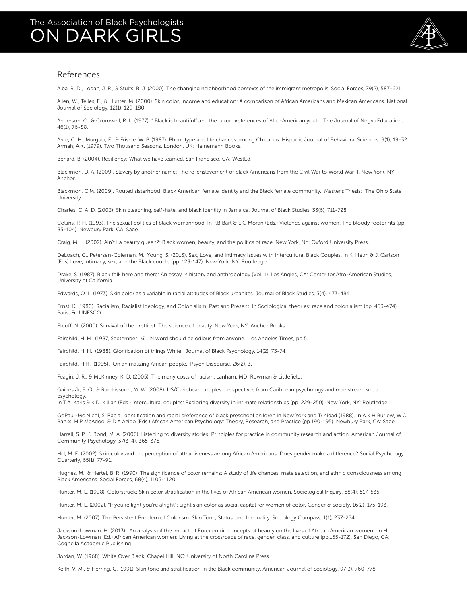

#### References

Alba, R. D., Logan, J. R., & Stults, B. J. (2000). The changing neighborhood contexts of the immigrant metropolis. Social Forces, 79(2), 587-621.

Allen, W., Telles, E., & Hunter, M. (2000). Skin color, income and education: A comparison of African Americans and Mexican Americans. National Journal of Sociology, 12(1), 129-180.

Anderson, C., & Cromwell, R. L. (1977). " Black is beautiful" and the color preferences of Afro-American youth. The Journal of Negro Education, 46(1), 76-88.

Arce, C. H., Murguia, E., & Frisbie, W. P. (1987). Phenotype and life chances among Chicanos. Hispanic Journal of Behavioral Sciences, 9(1), 19-32. Armah, A.K. (1979). Two Thousand Seasons. London, UK: Heinemann Books.

Benard, B. (2004). Resiliency: What we have learned. San Francisco, CA: WestEd.

Blackmon, D. A. (2009). Slavery by another name: The re-enslavement of black Americans from the Civil War to World War II. New York, NY: Anchor.

Blackmon, C.M. (2009). Routed sisterhood: Black American female Identity and the Black female community. Master's Thesis: The Ohio State University

Charles, C. A. D. (2003). Skin bleaching, self-hate, and black identity in Jamaica. Journal of Black Studies, 33(6), 711-728.

Collins, P. H. (1993). The sexual politics of black womanhood. In P.B Bart & E.G Moran (Eds.) Violence against women: The bloody footprints (pp. 85-104). Newbury Park, CA: Sage.

Craig, M. L. (2002). Ain't I a beauty queen?: Black women, beauty, and the politics of race. New York, NY: Oxford University Press.

DeLoach, C., Petersen-Coleman, M., Young, S. (2013). Sex, Love, and Intimacy Issues with Intercultural Black Couples. In K. Helm & J. Carlson (Eds) Love, intimacy, sex, and the Black couple (pp. 123-147). New York, NY: Routledge

Drake, S. (1987). Black folk here and there: An essay in history and anthropology (Vol. 1). Los Angles, CA: Center for Afro-American Studies, University of California.

Edwards, O. L. (1973). Skin color as a variable in racial attitudes of Black urbanites. Journal of Black Studies, 3(4), 473-484.

Ernst, K. (1980). Racialism, Racialist Ideology, and Colonialism, Past and Present. In Sociological theories: race and colonialism (pp. 453-474). Paris, Fr: UNESCO

Etcoff, N. (2000). Survival of the prettiest: The science of beauty. New York, NY: Anchor Books.

Fairchild, H. H. (1987, September 16). N word should be odious from anyone. Los Angeles Times, pp 5.

Fairchild, H. H. (1988). Glorification of things White. Journal of Black Psychology, 14(2), 73-74.

Fairchild, H.H. (1995). On animalizing African people. Psych Discourse, 26(2), 3.

Feagin, J. R., & McKinney, K. D. (2005). The many costs of racism. Lanham, MD: Rowman & Littlefield.

Gaines Jr, S. O., & Ramkissoon, M. W. (2008). US/Caribbean couples: perspectives from Caribbean psychology and mainstream social psychology.

In T.A. Karis & K.D. Killian (Eds.) Intercultural couples: Exploring diversity in intimate relationships (pp. 229-250). New York, NY: Routledge.

GoPaul-Mc.Nicol, S. Racial identification and racial preference of black preschool children in New York and Trinidad (1988). In A.K.H Burlew, W.C Banks, H.P McAdoo, & D.A Azibo (Eds.) African American Psychology: Theory, Research, and Practice (pp.190-195). Newbury Park, CA: Sage.

Harrell, S. P., & Bond, M. A. (2006). Listening to diversity stories: Principles for practice in community research and action. American Journal of Community Psychology, 37(3-4), 365-376.

Hill, M. E. (2002). Skin color and the perception of attractiveness among African Americans: Does gender make a difference? Social Psychology Quarterly, 65(1), 77-91.

Hughes, M., & Hertel, B. R. (1990). The significance of color remains: A study of life chances, mate selection, and ethnic consciousness among Black Americans. Social Forces, 68(4), 1105-1120.

Hunter, M. L. (1998). Colorstruck: Skin color stratification in the lives of African American women. Sociological Inquiry, 68(4), 517-535.

Hunter, M. L. (2002). "If you're light you're alright": Light skin color as social capital for women of color. Gender & Society, 16(2), 175-193.

Hunter, M. (2007). The Persistent Problem of Colorism: Skin Tone, Status, and Inequality. Sociology Compass, 1(1), 237-254.

Jackson-Lowman, H. (2013). An analysis of the impact of Eurocentric concepts of beauty on the lives of African American women. In H. Jackson-Lowman (Ed.) African American women: Living at the crossroads of race, gender, class, and culture (pp.155-172). San Diego, CA: Cognella Academic Publishing

Jordan, W. (1968). White Over Black. Chapel Hill, NC: University of North Carolina Press.

Keith, V. M., & Herring, C. (1991). Skin tone and stratification in the Black community. American Journal of Sociology, 97(3), 760-778.